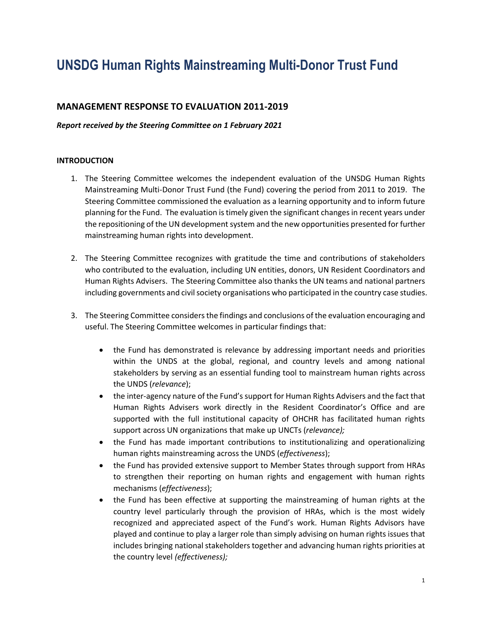# **UNSDG Human Rights Mainstreaming Multi-Donor Trust Fund**

## **MANAGEMENT RESPONSE TO EVALUATION 2011-2019**

#### *Report received by the Steering Committee on 1 February 2021*

#### **INTRODUCTION**

- 1. The Steering Committee welcomes the independent evaluation of the UNSDG Human Rights Mainstreaming Multi-Donor Trust Fund (the Fund) covering the period from 2011 to 2019. The Steering Committee commissioned the evaluation as a learning opportunity and to inform future planning for the Fund. The evaluation is timely given the significant changes in recent years under the repositioning of the UN development system and the new opportunities presented for further mainstreaming human rights into development.
- 2. The Steering Committee recognizes with gratitude the time and contributions of stakeholders who contributed to the evaluation, including UN entities, donors, UN Resident Coordinators and Human Rights Advisers. The Steering Committee also thanks the UN teams and national partners including governments and civil society organisations who participated in the country case studies.
- 3. The Steering Committee considers the findings and conclusions of the evaluation encouraging and useful. The Steering Committee welcomes in particular findings that:
	- the Fund has demonstrated is relevance by addressing important needs and priorities within the UNDS at the global, regional, and country levels and among national stakeholders by serving as an essential funding tool to mainstream human rights across the UNDS (*relevance*);
	- the inter-agency nature of the Fund's support for Human Rights Advisers and the fact that Human Rights Advisers work directly in the Resident Coordinator's Office and are supported with the full institutional capacity of OHCHR has facilitated human rights support across UN organizations that make up UNCTs (*relevance);*
	- the Fund has made important contributions to institutionalizing and operationalizing human rights mainstreaming across the UNDS (*effectiveness*);
	- the Fund has provided extensive support to Member States through support from HRAs to strengthen their reporting on human rights and engagement with human rights mechanisms (*effectiveness*);
	- the Fund has been effective at supporting the mainstreaming of human rights at the country level particularly through the provision of HRAs, which is the most widely recognized and appreciated aspect of the Fund's work. Human Rights Advisors have played and continue to play a larger role than simply advising on human rights issues that includes bringing national stakeholders together and advancing human rights priorities at the country level *(effectiveness);*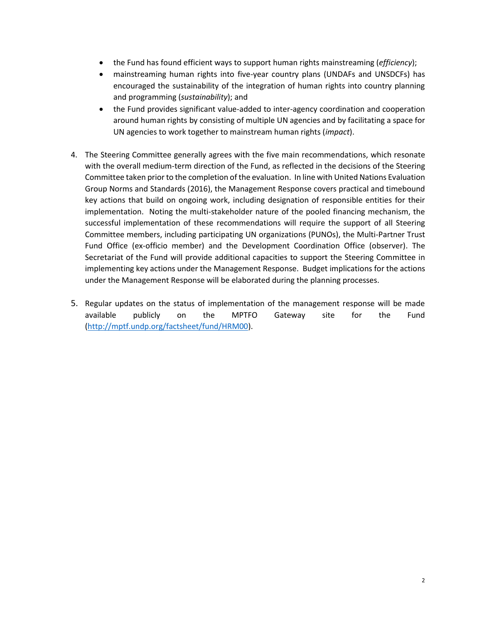- the Fund has found efficient ways to support human rights mainstreaming (*efficiency*);
- mainstreaming human rights into five-year country plans (UNDAFs and UNSDCFs) has encouraged the sustainability of the integration of human rights into country planning and programming (*sustainability*); and
- the Fund provides significant value-added to inter-agency coordination and cooperation around human rights by consisting of multiple UN agencies and by facilitating a space for UN agencies to work together to mainstream human rights (*impact*).
- 4. The Steering Committee generally agrees with the five main recommendations, which resonate with the overall medium-term direction of the Fund, as reflected in the decisions of the Steering Committee taken prior to the completion of the evaluation. In line with United Nations Evaluation Group Norms and Standards (2016), the Management Response covers practical and timebound key actions that build on ongoing work, including designation of responsible entities for their implementation. Noting the multi-stakeholder nature of the pooled financing mechanism, the successful implementation of these recommendations will require the support of all Steering Committee members, including participating UN organizations (PUNOs), the Multi-Partner Trust Fund Office (ex-officio member) and the Development Coordination Office (observer). The Secretariat of the Fund will provide additional capacities to support the Steering Committee in implementing key actions under the Management Response. Budget implications for the actions under the Management Response will be elaborated during the planning processes.
- 5. Regular updates on the status of implementation of the management response will be made available publicly on the MPTFO Gateway site for the Fund [\(http://mptf.undp.org/factsheet/fund/HRM00\)](http://mptf.undp.org/factsheet/fund/HRM00).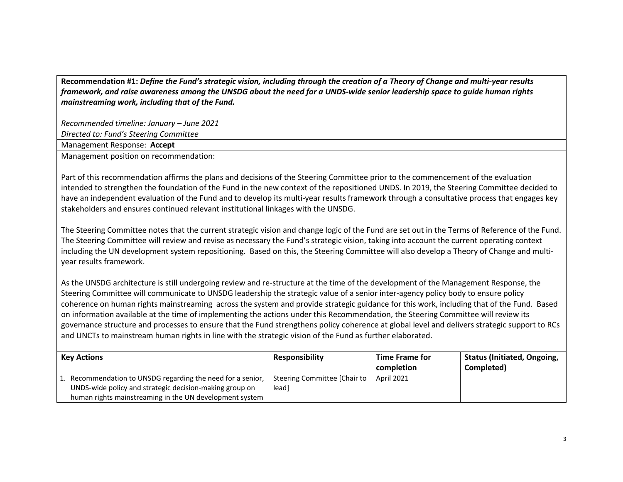**Recommendation #1:** *Define the Fund's strategic vision, including through the creation of a Theory of Change and multi-year results framework, and raise awareness among the UNSDG about the need for a UNDS-wide senior leadership space to guide human rights mainstreaming work, including that of the Fund.* 

*Recommended timeline: January – June 2021*

*Directed to: Fund's Steering Committee*

Management Response: **Accept**

Management position on recommendation:

Part of this recommendation affirms the plans and decisions of the Steering Committee prior to the commencement of the evaluation intended to strengthen the foundation of the Fund in the new context of the repositioned UNDS. In 2019, the Steering Committee decided to have an independent evaluation of the Fund and to develop its multi-year results framework through a consultative process that engages key stakeholders and ensures continued relevant institutional linkages with the UNSDG.

The Steering Committee notes that the current strategic vision and change logic of the Fund are set out in the Terms of Reference of the Fund. The Steering Committee will review and revise as necessary the Fund's strategic vision, taking into account the current operating context including the UN development system repositioning. Based on this, the Steering Committee will also develop a Theory of Change and multiyear results framework.

As the UNSDG architecture is still undergoing review and re-structure at the time of the development of the Management Response, the Steering Committee will communicate to UNSDG leadership the strategic value of a senior inter-agency policy body to ensure policy coherence on human rights mainstreaming across the system and provide strategic guidance for this work, including that of the Fund. Based on information available at the time of implementing the actions under this Recommendation, the Steering Committee will review its governance structure and processes to ensure that the Fund strengthens policy coherence at global level and delivers strategic support to RCs and UNCTs to mainstream human rights in line with the strategic vision of the Fund as further elaborated.

| <b>Key Actions</b>                                          | <b>Responsibility</b>        | <b>Time Frame for</b> | <b>Status (Initiated, Ongoing,</b> |
|-------------------------------------------------------------|------------------------------|-----------------------|------------------------------------|
|                                                             |                              | completion            | Completed)                         |
| 1. Recommendation to UNSDG regarding the need for a senior, | Steering Committee [Chair to | April 2021            |                                    |
| UNDS-wide policy and strategic decision-making group on     | leadl                        |                       |                                    |
| human rights mainstreaming in the UN development system     |                              |                       |                                    |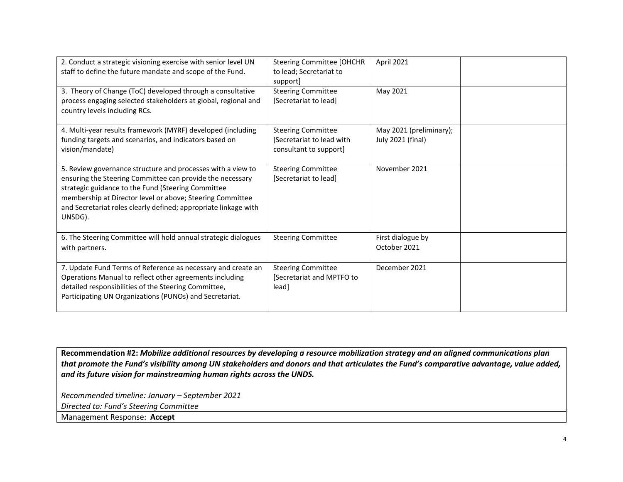| 2. Conduct a strategic visioning exercise with senior level UN  | <b>Steering Committee [OHCHR</b> | April 2021              |  |
|-----------------------------------------------------------------|----------------------------------|-------------------------|--|
| staff to define the future mandate and scope of the Fund.       | to lead; Secretariat to          |                         |  |
|                                                                 | support]                         |                         |  |
| 3. Theory of Change (ToC) developed through a consultative      | <b>Steering Committee</b>        | May 2021                |  |
| process engaging selected stakeholders at global, regional and  | [Secretariat to lead]            |                         |  |
| country levels including RCs.                                   |                                  |                         |  |
|                                                                 |                                  |                         |  |
|                                                                 |                                  |                         |  |
| 4. Multi-year results framework (MYRF) developed (including     | <b>Steering Committee</b>        | May 2021 (preliminary); |  |
| funding targets and scenarios, and indicators based on          | [Secretariat to lead with        | July 2021 (final)       |  |
| vision/mandate)                                                 | consultant to support]           |                         |  |
|                                                                 |                                  |                         |  |
| 5. Review governance structure and processes with a view to     | <b>Steering Committee</b>        | November 2021           |  |
| ensuring the Steering Committee can provide the necessary       | [Secretariat to lead]            |                         |  |
| strategic guidance to the Fund (Steering Committee              |                                  |                         |  |
| membership at Director level or above; Steering Committee       |                                  |                         |  |
| and Secretariat roles clearly defined; appropriate linkage with |                                  |                         |  |
| UNSDG).                                                         |                                  |                         |  |
|                                                                 |                                  |                         |  |
|                                                                 |                                  |                         |  |
| 6. The Steering Committee will hold annual strategic dialogues  | <b>Steering Committee</b>        | First dialogue by       |  |
| with partners.                                                  |                                  | October 2021            |  |
|                                                                 |                                  |                         |  |
| 7. Update Fund Terms of Reference as necessary and create an    | <b>Steering Committee</b>        | December 2021           |  |
| Operations Manual to reflect other agreements including         | Secretariat and MPTFO to         |                         |  |
| detailed responsibilities of the Steering Committee,            | lead]                            |                         |  |
| Participating UN Organizations (PUNOs) and Secretariat.         |                                  |                         |  |
|                                                                 |                                  |                         |  |
|                                                                 |                                  |                         |  |

**Recommendation #2:** *Mobilize additional resources by developing a resource mobilization strategy and an aligned communications plan that promote the Fund's visibility among UN stakeholders and donors and that articulates the Fund's comparative advantage, value added, and its future vision for mainstreaming human rights across the UNDS.*

*Recommended timeline: January – September 2021*

*Directed to: Fund's Steering Committee*

Management Response: **Accept**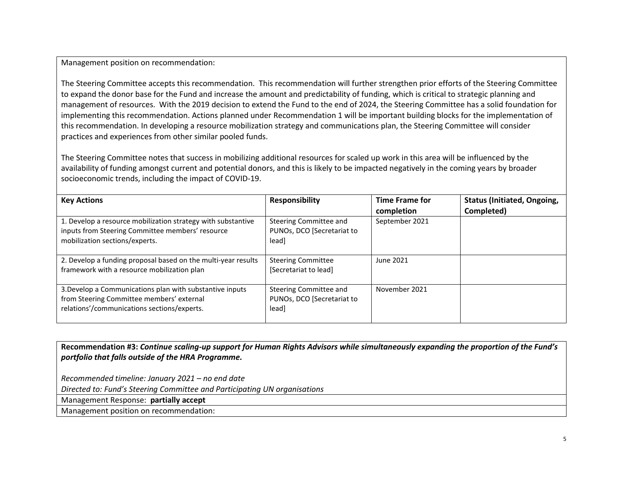Management position on recommendation:

The Steering Committee accepts this recommendation. This recommendation will further strengthen prior efforts of the Steering Committee to expand the donor base for the Fund and increase the amount and predictability of funding, which is critical to strategic planning and management of resources. With the 2019 decision to extend the Fund to the end of 2024, the Steering Committee has a solid foundation for implementing this recommendation. Actions planned under Recommendation 1 will be important building blocks for the implementation of this recommendation. In developing a resource mobilization strategy and communications plan, the Steering Committee will consider practices and experiences from other similar pooled funds.

The Steering Committee notes that success in mobilizing additional resources for scaled up work in this area will be influenced by the availability of funding amongst current and potential donors, and this is likely to be impacted negatively in the coming years by broader socioeconomic trends, including the impact of COVID-19.

| <b>Key Actions</b>                                                                                                                                   | <b>Responsibility</b>                                         | <b>Time Frame for</b><br>completion | <b>Status (Initiated, Ongoing,</b><br>Completed) |
|------------------------------------------------------------------------------------------------------------------------------------------------------|---------------------------------------------------------------|-------------------------------------|--------------------------------------------------|
| 1. Develop a resource mobilization strategy with substantive<br>inputs from Steering Committee members' resource<br>mobilization sections/experts.   | Steering Committee and<br>PUNOs, DCO [Secretariat to<br>lead] | September 2021                      |                                                  |
| 2. Develop a funding proposal based on the multi-year results<br>framework with a resource mobilization plan                                         | <b>Steering Committee</b><br>[Secretariat to lead]            | June 2021                           |                                                  |
| 3. Develop a Communications plan with substantive inputs<br>from Steering Committee members' external<br>relations'/communications sections/experts. | Steering Committee and<br>PUNOs, DCO [Secretariat to<br>lead] | November 2021                       |                                                  |

**Recommendation #3:** *Continue scaling-up support for Human Rights Advisors while simultaneously expanding the proportion of the Fund's portfolio that falls outside of the HRA Programme.*

*Recommended timeline: January 2021 – no end date* 

*Directed to: Fund's Steering Committee and Participating UN organisations*

Management Response: **partially accept**

Management position on recommendation: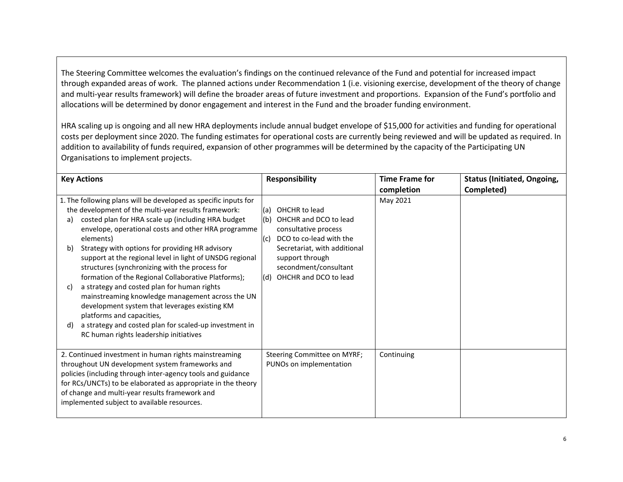The Steering Committee welcomes the evaluation's findings on the continued relevance of the Fund and potential for increased impact through expanded areas of work. The planned actions under Recommendation 1 (i.e. visioning exercise, development of the theory of change and multi-year results framework) will define the broader areas of future investment and proportions. Expansion of the Fund's portfolio and allocations will be determined by donor engagement and interest in the Fund and the broader funding environment.

HRA scaling up is ongoing and all new HRA deployments include annual budget envelope of \$15,000 for activities and funding for operational costs per deployment since 2020. The funding estimates for operational costs are currently being reviewed and will be updated as required. In addition to availability of funds required, expansion of other programmes will be determined by the capacity of the Participating UN Organisations to implement projects.

| <b>Key Actions</b>                                                                                                                                                                                                                                                                                                                                                                                                                                                                                                                                                                                                                                                                                                                                                                     | <b>Responsibility</b>                                                                                                                                                                                                               | <b>Time Frame for</b> | <b>Status (Initiated, Ongoing,</b> |
|----------------------------------------------------------------------------------------------------------------------------------------------------------------------------------------------------------------------------------------------------------------------------------------------------------------------------------------------------------------------------------------------------------------------------------------------------------------------------------------------------------------------------------------------------------------------------------------------------------------------------------------------------------------------------------------------------------------------------------------------------------------------------------------|-------------------------------------------------------------------------------------------------------------------------------------------------------------------------------------------------------------------------------------|-----------------------|------------------------------------|
|                                                                                                                                                                                                                                                                                                                                                                                                                                                                                                                                                                                                                                                                                                                                                                                        |                                                                                                                                                                                                                                     | completion            | Completed)                         |
| 1. The following plans will be developed as specific inputs for<br>the development of the multi-year results framework:<br>costed plan for HRA scale up (including HRA budget<br>a)<br>envelope, operational costs and other HRA programme<br>elements)<br>Strategy with options for providing HR advisory<br>b)<br>support at the regional level in light of UNSDG regional<br>structures (synchronizing with the process for<br>formation of the Regional Collaborative Platforms);<br>a strategy and costed plan for human rights<br>C)<br>mainstreaming knowledge management across the UN<br>development system that leverages existing KM<br>platforms and capacities,<br>a strategy and costed plan for scaled-up investment in<br>d)<br>RC human rights leadership initiatives | OHCHR to lead<br>(a)<br>(b) OHCHR and DCO to lead<br>consultative process<br>DCO to co-lead with the<br>$\mathsf{I}(c)$<br>Secretariat, with additional<br>support through<br>secondment/consultant<br>OHCHR and DCO to lead<br>(d) | May 2021              |                                    |
| 2. Continued investment in human rights mainstreaming<br>throughout UN development system frameworks and<br>policies (including through inter-agency tools and guidance<br>for RCs/UNCTs) to be elaborated as appropriate in the theory<br>of change and multi-year results framework and<br>implemented subject to available resources.                                                                                                                                                                                                                                                                                                                                                                                                                                               | Steering Committee on MYRF;<br>PUNOs on implementation                                                                                                                                                                              | Continuing            |                                    |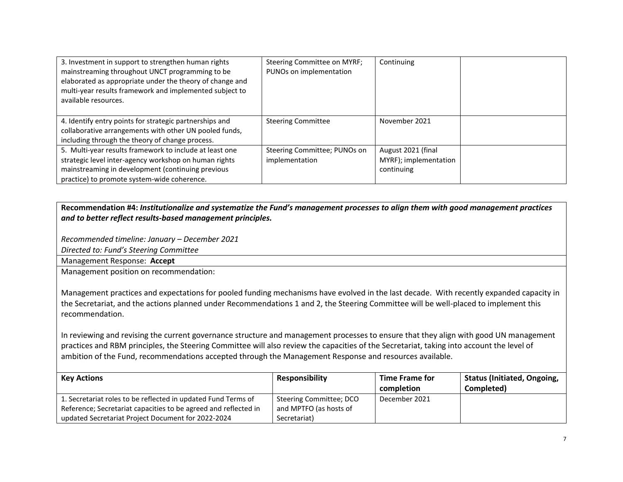| 3. Investment in support to strengthen human rights<br>mainstreaming throughout UNCT programming to be<br>elaborated as appropriate under the theory of change and<br>multi-year results framework and implemented subject to<br>available resources. | Steering Committee on MYRF;<br>PUNOs on implementation | Continuing            |  |
|-------------------------------------------------------------------------------------------------------------------------------------------------------------------------------------------------------------------------------------------------------|--------------------------------------------------------|-----------------------|--|
| 4. Identify entry points for strategic partnerships and<br>collaborative arrangements with other UN pooled funds,                                                                                                                                     | <b>Steering Committee</b>                              | November 2021         |  |
| including through the theory of change process.                                                                                                                                                                                                       |                                                        |                       |  |
| 5. Multi-year results framework to include at least one                                                                                                                                                                                               | Steering Committee; PUNOs on                           | August 2021 (final    |  |
| strategic level inter-agency workshop on human rights                                                                                                                                                                                                 | implementation                                         | MYRF); implementation |  |
| mainstreaming in development (continuing previous                                                                                                                                                                                                     |                                                        | continuing            |  |
| practice) to promote system-wide coherence.                                                                                                                                                                                                           |                                                        |                       |  |

### **Recommendation #4:** *Institutionalize and systematize the Fund's management processes to align them with good management practices and to better reflect results-based management principles.*

*Recommended timeline: January – December 2021*

*Directed to: Fund's Steering Committee*

Management Response: **Accept**

Management position on recommendation:

Management practices and expectations for pooled funding mechanisms have evolved in the last decade. With recently expanded capacity in the Secretariat, and the actions planned under Recommendations 1 and 2, the Steering Committee will be well-placed to implement this recommendation.

In reviewing and revising the current governance structure and management processes to ensure that they align with good UN management practices and RBM principles, the Steering Committee will also review the capacities of the Secretariat, taking into account the level of ambition of the Fund, recommendations accepted through the Management Response and resources available.

| Key Actions                                                     | <b>Responsibility</b>   | <b>Time Frame for</b> | <b>Status (Initiated, Ongoing,</b> |
|-----------------------------------------------------------------|-------------------------|-----------------------|------------------------------------|
|                                                                 |                         | completion            | Completed)                         |
| 1. Secretariat roles to be reflected in updated Fund Terms of   | Steering Committee; DCO | December 2021         |                                    |
| Reference; Secretariat capacities to be agreed and reflected in | and MPTFO (as hosts of  |                       |                                    |
| updated Secretariat Project Document for 2022-2024              | Secretariat)            |                       |                                    |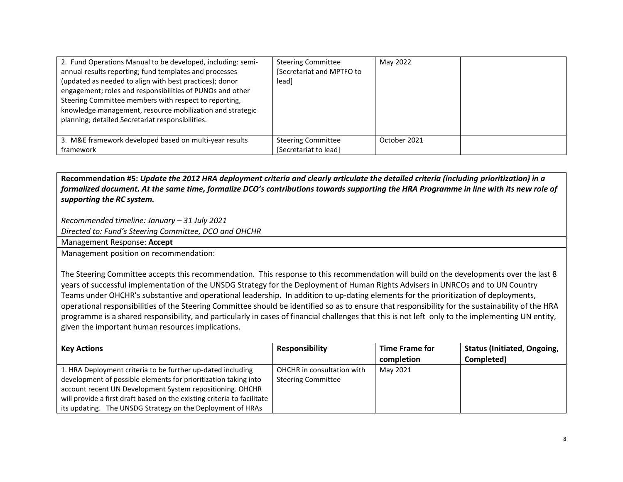| 2. Fund Operations Manual to be developed, including: semi-<br>annual results reporting; fund templates and processes<br>(updated as needed to align with best practices); donor<br>engagement; roles and responsibilities of PUNOs and other<br>Steering Committee members with respect to reporting,<br>knowledge management, resource mobilization and strategic<br>planning; detailed Secretariat responsibilities. | <b>Steering Committee</b><br>[Secretariat and MPTFO to<br>lead] | May 2022     |  |
|-------------------------------------------------------------------------------------------------------------------------------------------------------------------------------------------------------------------------------------------------------------------------------------------------------------------------------------------------------------------------------------------------------------------------|-----------------------------------------------------------------|--------------|--|
| 3. M&E framework developed based on multi-year results                                                                                                                                                                                                                                                                                                                                                                  | <b>Steering Committee</b>                                       | October 2021 |  |
| framework                                                                                                                                                                                                                                                                                                                                                                                                               | [Secretariat to lead]                                           |              |  |

**Recommendation #5:** *Update the 2012 HRA deployment criteria and clearly articulate the detailed criteria (including prioritization) in a formalized document. At the same time, formalize DCO's contributions towards supporting the HRA Programme in line with its new role of supporting the RC system.*

*Recommended timeline: January – 31 July 2021*

*Directed to: Fund's Steering Committee, DCO and OHCHR*

Management Response: **Accept**

Management position on recommendation:

The Steering Committee accepts this recommendation. This response to this recommendation will build on the developments over the last 8 years of successful implementation of the UNSDG Strategy for the Deployment of Human Rights Advisers in UNRCOs and to UN Country Teams under OHCHR's substantive and operational leadership. In addition to up-dating elements for the prioritization of deployments, operational responsibilities of the Steering Committee should be identified so as to ensure that responsibility for the sustainability of the HRA programme is a shared responsibility, and particularly in cases of financial challenges that this is not left only to the implementing UN entity, given the important human resources implications.

| <b>Key Actions</b>                                                      | <b>Responsibility</b>      | <b>Time Frame for</b> | <b>Status (Initiated, Ongoing,</b> |
|-------------------------------------------------------------------------|----------------------------|-----------------------|------------------------------------|
|                                                                         |                            | completion            | Completed)                         |
| 1. HRA Deployment criteria to be further up-dated including             | OHCHR in consultation with | May 2021              |                                    |
| development of possible elements for prioritization taking into         | <b>Steering Committee</b>  |                       |                                    |
| account recent UN Development System repositioning. OHCHR               |                            |                       |                                    |
| will provide a first draft based on the existing criteria to facilitate |                            |                       |                                    |
| its updating. The UNSDG Strategy on the Deployment of HRAs              |                            |                       |                                    |